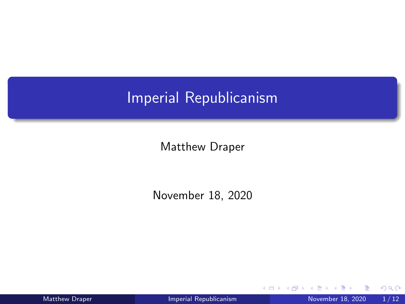## <span id="page-0-0"></span>Imperial Republicanism

Matthew Draper

November 18, 2020

4 D F

Matthew Draper **[Imperial Republicanism](#page-11-0)** November 18, 2020 1/12

 $299$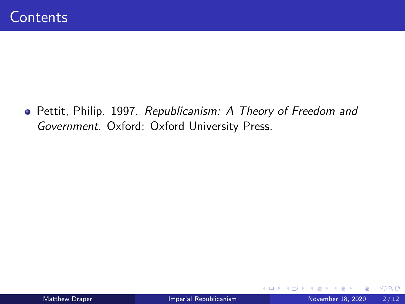Pettit, Philip. 1997. Republicanism: A Theory of Freedom and Government. Oxford: Oxford University Press.

4 0 F

- ← 冊 →

Þ

 $QQ$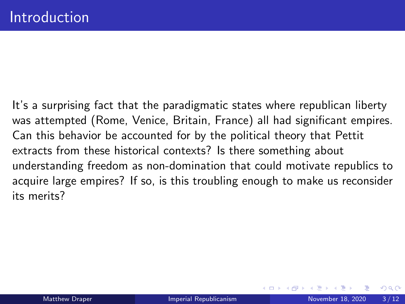<span id="page-2-0"></span>It's a surprising fact that the paradigmatic states where republican liberty was attempted (Rome, Venice, Britain, France) all had significant empires. Can this behavior be accounted for by the political theory that Pettit extracts from these historical contexts? Is there something about understanding freedom as non-domination that could motivate republics to acquire large empires? If so, is this troubling enough to make us reconsider its merits?

 $200$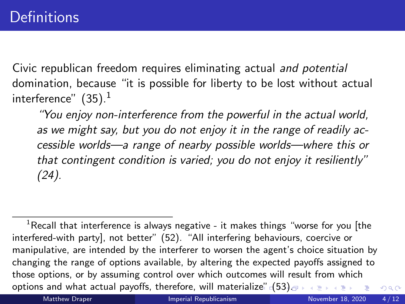<span id="page-3-0"></span>Civic republican freedom requires eliminating actual and potential domination, because "it is possible for liberty to be lost without actual interference"  $(35).<sup>1</sup>$ 

"You enjoy non-interference from the powerful in the actual world, as we might say, but you do not enjoy it in the range of readily accessible worlds—a range of nearby possible worlds—where this or that contingent condition is varied; you do not enjoy it resiliently" (24).

 $1$ Recall that interference is always negative - it makes things "worse for you [the interfered-with party], not better" (52). "All interfering behaviours, coercive or manipulative, are intended by the interferer to worsen the agent's choice situation by changing the range of options available, by altering the expected payoffs assigned to those options, or by assuming control over which outcomes will result from which options and what actual payoffs, therefore, will materializ[e"](#page-2-0)  $(53)$  $(53)$  $QQ$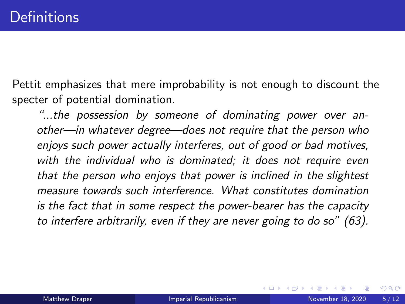<span id="page-4-0"></span>Pettit emphasizes that mere improbability is not enough to discount the specter of potential domination.

"...the possession by someone of dominating power over another—in whatever degree—does not require that the person who enjoys such power actually interferes, out of good or bad motives, with the individual who is dominated; it does not require even that the person who enjoys that power is inclined in the slightest measure towards such interference. What constitutes domination is the fact that in some respect the power-bearer has the capacity to interfere arbitrarily, even if they are never going to do so" (63).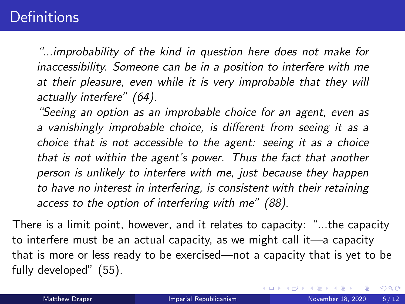## **Definitions**

"...improbability of the kind in question here does not make for inaccessibility. Someone can be in a position to interfere with me at their pleasure, even while it is very improbable that they will actually interfere" (64).

"Seeing an option as an improbable choice for an agent, even as a vanishingly improbable choice, is different from seeing it as a choice that is not accessible to the agent: seeing it as a choice that is not within the agent's power. Thus the fact that another person is unlikely to interfere with me, just because they happen to have no interest in interfering, is consistent with their retaining access to the option of interfering with me" (88).

There is a limit point, however, and it relates to capacity: "...the capacity to interfere must be an actual capacity, as we might call it—a capacity that is more or less ready to be exercised—not a capacity that is yet to be fully developed" (55).

( □ ) ( <sub>□</sub> ) (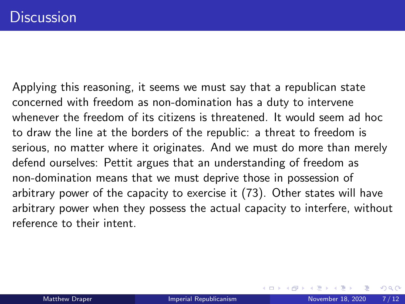Applying this reasoning, it seems we must say that a republican state concerned with freedom as non-domination has a duty to intervene whenever the freedom of its citizens is threatened. It would seem ad hoc to draw the line at the borders of the republic: a threat to freedom is serious, no matter where it originates. And we must do more than merely defend ourselves: Pettit argues that an understanding of freedom as non-domination means that we must deprive those in possession of arbitrary power of the capacity to exercise it (73). Other states will have arbitrary power when they possess the actual capacity to interfere, without reference to their intent.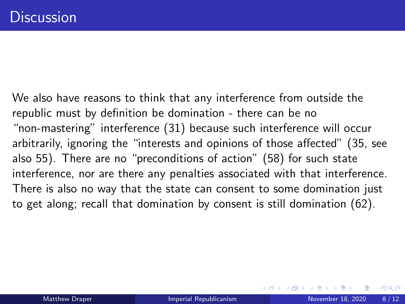We also have reasons to think that any interference from outside the republic must by definition be domination - there can be no "non-mastering" interference (31) because such interference will occur arbitrarily, ignoring the "interests and opinions of those affected" (35, see also 55). There are no "preconditions of action" (58) for such state interference, nor are there any penalties associated with that interference. There is also no way that the state can consent to some domination just to get along; recall that domination by consent is still domination (62).

 $200$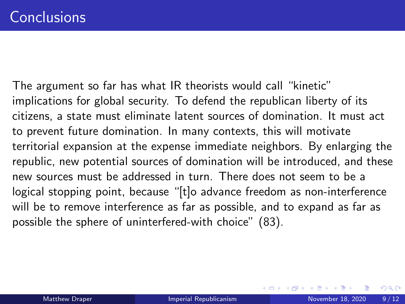The argument so far has what IR theorists would call "kinetic" implications for global security. To defend the republican liberty of its citizens, a state must eliminate latent sources of domination. It must act to prevent future domination. In many contexts, this will motivate territorial expansion at the expense immediate neighbors. By enlarging the republic, new potential sources of domination will be introduced, and these new sources must be addressed in turn. There does not seem to be a logical stopping point, because "[t]o advance freedom as non-interference will be to remove interference as far as possible, and to expand as far as possible the sphere of uninterfered-with choice" (83).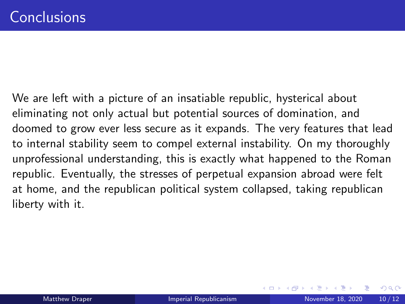We are left with a picture of an insatiable republic, hysterical about eliminating not only actual but potential sources of domination, and doomed to grow ever less secure as it expands. The very features that lead to internal stability seem to compel external instability. On my thoroughly unprofessional understanding, this is exactly what happened to the Roman republic. Eventually, the stresses of perpetual expansion abroad were felt at home, and the republican political system collapsed, taking republican liberty with it.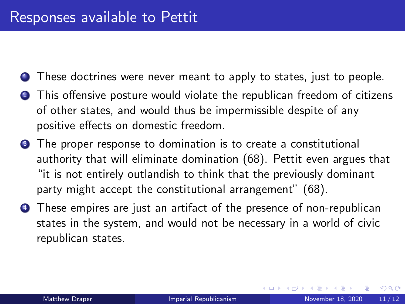- **1** These doctrines were never meant to apply to states, just to people.
- **2** This offensive posture would violate the republican freedom of citizens of other states, and would thus be impermissible despite of any positive effects on domestic freedom.
- **3** The proper response to domination is to create a constitutional authority that will eliminate domination (68). Pettit even argues that "it is not entirely outlandish to think that the previously dominant party might accept the constitutional arrangement" (68).
- **4** These empires are just an artifact of the presence of non-republican states in the system, and would not be necessary in a world of civic republican states.

 $QQ$